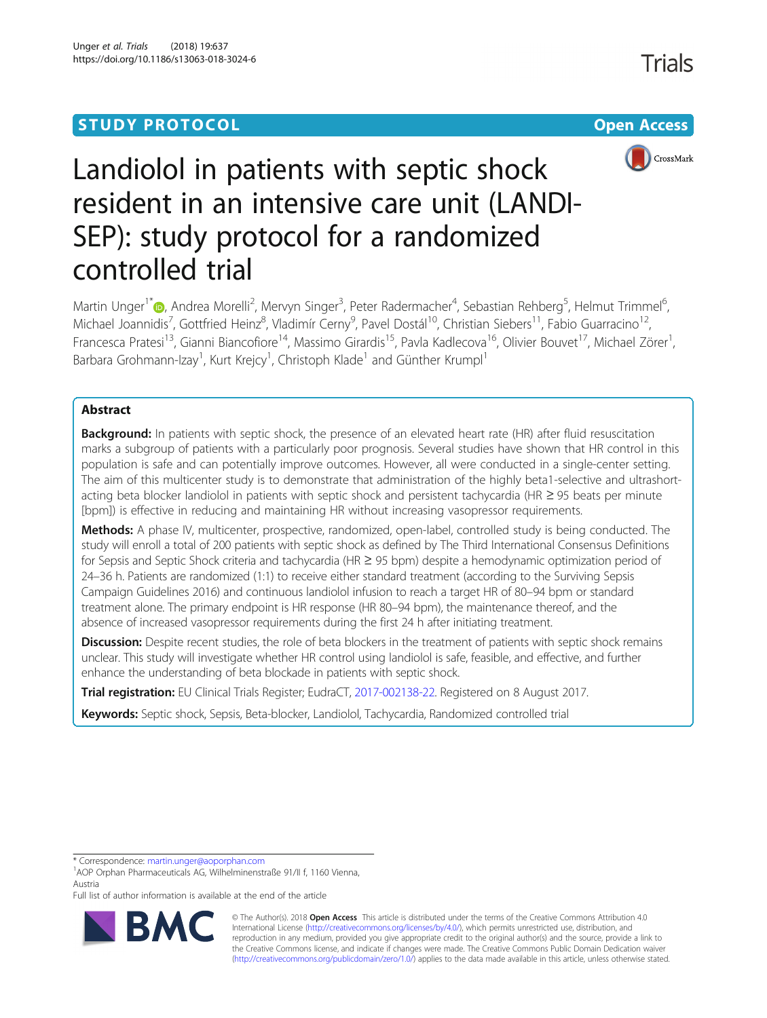# **STUDY PROTOCOL CONSUMING THE RESERVE ACCESS**



# Landiolol in patients with septic shock resident in an intensive care unit (LANDI-SEP): study protocol for a randomized controlled trial

Martin Unger<sup>1\*</sup>�[,](http://orcid.org/0000-0002-9600-8618) Andrea Morelli<sup>2</sup>, Mervyn Singer<sup>3</sup>, Peter Radermacher<sup>4</sup>, Sebastian Rehberg<sup>5</sup>, Helmut Trimmel<sup>6</sup> י<br>, Michael Joannidis<sup>7</sup>, Gottfried Heinz<sup>8</sup>, Vladimír Cerny<sup>9</sup>, Pavel Dostál<sup>10</sup>, Christian Siebers<sup>11</sup>, Fabio Guarracino<sup>12</sup>, Francesca Pratesi<sup>13</sup>, Gianni Biancofiore<sup>14</sup>, Massimo Girardis<sup>15</sup>, Pavla Kadlecova<sup>16</sup>, Olivier Bouvet<sup>17</sup>, Michael Zörer<sup>1</sup>, , Barbara Grohmann-Izay<sup>1</sup>, Kurt Krejcy<sup>1</sup>, Christoph Klade<sup>1</sup> and Günther Krumpl<sup>1</sup>

# Abstract

Background: In patients with septic shock, the presence of an elevated heart rate (HR) after fluid resuscitation marks a subgroup of patients with a particularly poor prognosis. Several studies have shown that HR control in this population is safe and can potentially improve outcomes. However, all were conducted in a single-center setting. The aim of this multicenter study is to demonstrate that administration of the highly beta1-selective and ultrashortacting beta blocker landiolol in patients with septic shock and persistent tachycardia (HR ≥ 95 beats per minute [bpm]) is effective in reducing and maintaining HR without increasing vasopressor requirements.

Methods: A phase IV, multicenter, prospective, randomized, open-label, controlled study is being conducted. The study will enroll a total of 200 patients with septic shock as defined by The Third International Consensus Definitions for Sepsis and Septic Shock criteria and tachycardia (HR ≥ 95 bpm) despite a hemodynamic optimization period of 24–36 h. Patients are randomized (1:1) to receive either standard treatment (according to the Surviving Sepsis Campaign Guidelines 2016) and continuous landiolol infusion to reach a target HR of 80–94 bpm or standard treatment alone. The primary endpoint is HR response (HR 80–94 bpm), the maintenance thereof, and the absence of increased vasopressor requirements during the first 24 h after initiating treatment.

Discussion: Despite recent studies, the role of beta blockers in the treatment of patients with septic shock remains unclear. This study will investigate whether HR control using landiolol is safe, feasible, and effective, and further enhance the understanding of beta blockade in patients with septic shock.

Trial registration: EU Clinical Trials Register; EudraCT, [2017-002138-22.](https://www.clinicaltrialsregister.eu/ctr-search/trial/2017-002138-22/AT) Registered on 8 August 2017.

Keywords: Septic shock, Sepsis, Beta-blocker, Landiolol, Tachycardia, Randomized controlled trial

\* Correspondence: [martin.unger@aoporphan.com](mailto:martin.unger@aoporphan.com) <sup>1</sup>

Full list of author information is available at the end of the article



© The Author(s). 2018 Open Access This article is distributed under the terms of the Creative Commons Attribution 4.0 International License [\(http://creativecommons.org/licenses/by/4.0/](http://creativecommons.org/licenses/by/4.0/)), which permits unrestricted use, distribution, and reproduction in any medium, provided you give appropriate credit to the original author(s) and the source, provide a link to the Creative Commons license, and indicate if changes were made. The Creative Commons Public Domain Dedication waiver [\(http://creativecommons.org/publicdomain/zero/1.0/](http://creativecommons.org/publicdomain/zero/1.0/)) applies to the data made available in this article, unless otherwise stated.

<sup>&</sup>lt;sup>1</sup>AOP Orphan Pharmaceuticals AG, Wilhelminenstraße 91/II f, 1160 Vienna, Austria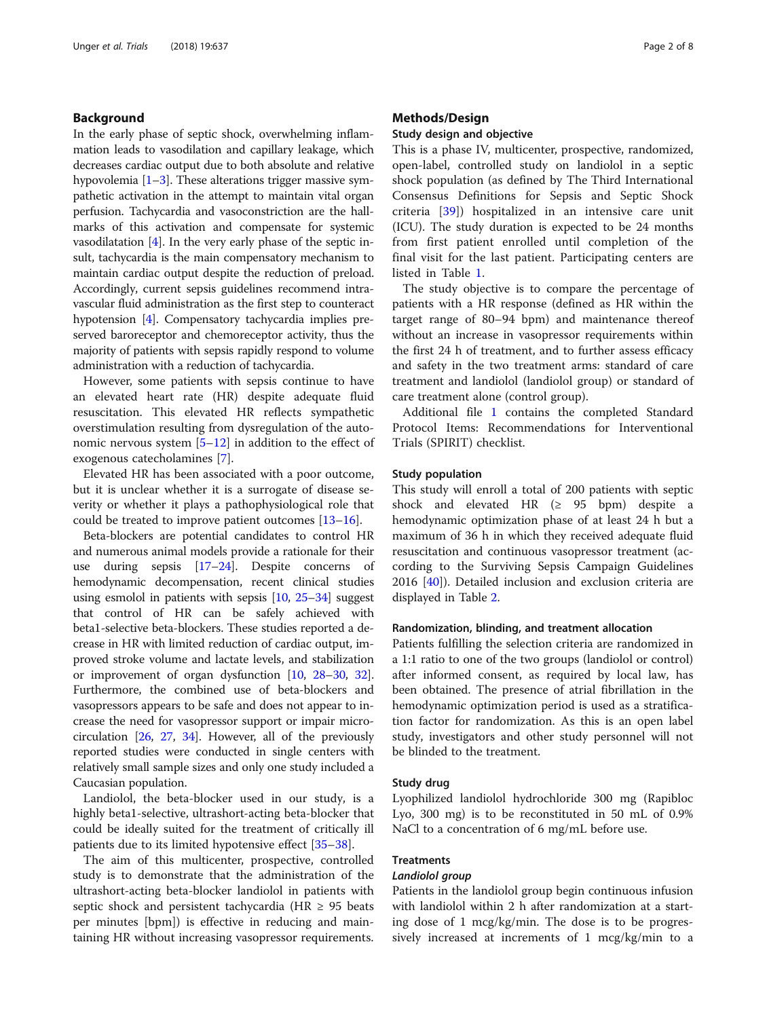# Background

In the early phase of septic shock, overwhelming inflammation leads to vasodilation and capillary leakage, which decreases cardiac output due to both absolute and relative hypovolemia  $[1-3]$  $[1-3]$  $[1-3]$ . These alterations trigger massive sympathetic activation in the attempt to maintain vital organ perfusion. Tachycardia and vasoconstriction are the hallmarks of this activation and compensate for systemic vasodilatation  $[4]$ . In the very early phase of the septic insult, tachycardia is the main compensatory mechanism to maintain cardiac output despite the reduction of preload. Accordingly, current sepsis guidelines recommend intravascular fluid administration as the first step to counteract hypotension [\[4](#page-6-0)]. Compensatory tachycardia implies preserved baroreceptor and chemoreceptor activity, thus the majority of patients with sepsis rapidly respond to volume administration with a reduction of tachycardia.

However, some patients with sepsis continue to have an elevated heart rate (HR) despite adequate fluid resuscitation. This elevated HR reflects sympathetic overstimulation resulting from dysregulation of the autonomic nervous system [\[5](#page-6-0)–[12\]](#page-6-0) in addition to the effect of exogenous catecholamines [\[7](#page-6-0)].

Elevated HR has been associated with a poor outcome, but it is unclear whether it is a surrogate of disease severity or whether it plays a pathophysiological role that could be treated to improve patient outcomes [[13](#page-6-0)–[16](#page-6-0)].

Beta-blockers are potential candidates to control HR and numerous animal models provide a rationale for their use during sepsis [\[17](#page-6-0)–[24](#page-6-0)]. Despite concerns of hemodynamic decompensation, recent clinical studies using esmolol in patients with sepsis [\[10,](#page-6-0) [25](#page-6-0)–[34](#page-6-0)] suggest that control of HR can be safely achieved with beta1-selective beta-blockers. These studies reported a decrease in HR with limited reduction of cardiac output, improved stroke volume and lactate levels, and stabilization or improvement of organ dysfunction [\[10,](#page-6-0) [28](#page-6-0)–[30](#page-6-0), [32](#page-6-0)]. Furthermore, the combined use of beta-blockers and vasopressors appears to be safe and does not appear to increase the need for vasopressor support or impair microcirculation [[26](#page-6-0), [27](#page-6-0), [34](#page-6-0)]. However, all of the previously reported studies were conducted in single centers with relatively small sample sizes and only one study included a Caucasian population.

Landiolol, the beta-blocker used in our study, is a highly beta1-selective, ultrashort-acting beta-blocker that could be ideally suited for the treatment of critically ill patients due to its limited hypotensive effect [[35](#page-6-0)–[38](#page-6-0)].

The aim of this multicenter, prospective, controlled study is to demonstrate that the administration of the ultrashort-acting beta-blocker landiolol in patients with septic shock and persistent tachycardia (HR  $\geq$  95 beats per minutes [bpm]) is effective in reducing and maintaining HR without increasing vasopressor requirements.

# Methods/Design

#### Study design and objective

This is a phase IV, multicenter, prospective, randomized, open-label, controlled study on landiolol in a septic shock population (as defined by The Third International Consensus Definitions for Sepsis and Septic Shock criteria [[39](#page-6-0)]) hospitalized in an intensive care unit (ICU). The study duration is expected to be 24 months from first patient enrolled until completion of the final visit for the last patient. Participating centers are listed in Table [1](#page-2-0).

The study objective is to compare the percentage of patients with a HR response (defined as HR within the target range of 80–94 bpm) and maintenance thereof without an increase in vasopressor requirements within the first 24 h of treatment, and to further assess efficacy and safety in the two treatment arms: standard of care treatment and landiolol (landiolol group) or standard of care treatment alone (control group).

Additional file [1](#page-5-0) contains the completed Standard Protocol Items: Recommendations for Interventional Trials (SPIRIT) checklist.

#### Study population

This study will enroll a total of 200 patients with septic shock and elevated HR  $(≥ 95 bpm)$  despite a hemodynamic optimization phase of at least 24 h but a maximum of 36 h in which they received adequate fluid resuscitation and continuous vasopressor treatment (according to the Surviving Sepsis Campaign Guidelines 2016 [\[40](#page-6-0)]). Detailed inclusion and exclusion criteria are displayed in Table [2](#page-3-0).

### Randomization, blinding, and treatment allocation

Patients fulfilling the selection criteria are randomized in a 1:1 ratio to one of the two groups (landiolol or control) after informed consent, as required by local law, has been obtained. The presence of atrial fibrillation in the hemodynamic optimization period is used as a stratification factor for randomization. As this is an open label study, investigators and other study personnel will not be blinded to the treatment.

#### Study drug

Lyophilized landiolol hydrochloride 300 mg (Rapibloc Lyo, 300 mg) is to be reconstituted in 50 mL of 0.9% NaCl to a concentration of 6 mg/mL before use.

# **Treatments**

# Landiolol group

Patients in the landiolol group begin continuous infusion with landiolol within 2 h after randomization at a starting dose of 1 mcg/kg/min. The dose is to be progressively increased at increments of 1 mcg/kg/min to a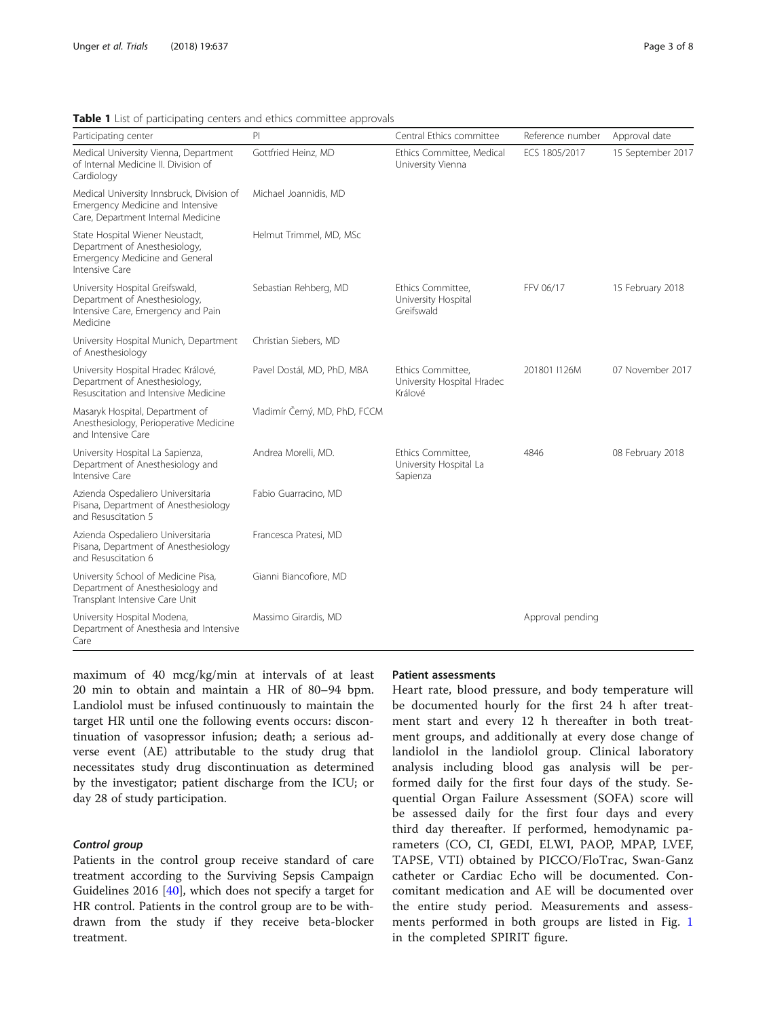| Participating center                                                                                                 | PI                            | Central Ethics committee                                   | Reference number | Approval date     |  |  |
|----------------------------------------------------------------------------------------------------------------------|-------------------------------|------------------------------------------------------------|------------------|-------------------|--|--|
| Medical University Vienna, Department<br>of Internal Medicine II. Division of<br>Cardiology                          | Gottfried Heinz, MD           | Ethics Committee, Medical<br>University Vienna             | ECS 1805/2017    | 15 September 2017 |  |  |
| Medical University Innsbruck, Division of<br>Emergency Medicine and Intensive<br>Care, Department Internal Medicine  | Michael Joannidis, MD         |                                                            |                  |                   |  |  |
| State Hospital Wiener Neustadt,<br>Department of Anesthesiology,<br>Emergency Medicine and General<br>Intensive Care | Helmut Trimmel, MD, MSc       |                                                            |                  |                   |  |  |
| University Hospital Greifswald,<br>Department of Anesthesiology,<br>Intensive Care, Emergency and Pain<br>Medicine   | Sebastian Rehberg, MD         | Ethics Committee,<br>University Hospital<br>Greifswald     | FFV 06/17        | 15 February 2018  |  |  |
| University Hospital Munich, Department<br>of Anesthesiology                                                          | Christian Siebers, MD         |                                                            |                  |                   |  |  |
| University Hospital Hradec Králové,<br>Department of Anesthesiology,<br>Resuscitation and Intensive Medicine         | Pavel Dostál, MD, PhD, MBA    | Ethics Committee,<br>University Hospital Hradec<br>Králové | 201801 I126M     | 07 November 2017  |  |  |
| Masaryk Hospital, Department of<br>Anesthesiology, Perioperative Medicine<br>and Intensive Care                      | Vladimír Černý, MD, PhD, FCCM |                                                            |                  |                   |  |  |
| University Hospital La Sapienza,<br>Department of Anesthesiology and<br>Intensive Care                               | Andrea Morelli, MD.           | Ethics Committee,<br>University Hospital La<br>Sapienza    | 4846             | 08 February 2018  |  |  |
| Azienda Ospedaliero Universitaria<br>Pisana, Department of Anesthesiology<br>and Resuscitation 5                     | Fabio Guarracino, MD          |                                                            |                  |                   |  |  |
| Azienda Ospedaliero Universitaria<br>Pisana, Department of Anesthesiology<br>and Resuscitation 6                     | Francesca Pratesi, MD         |                                                            |                  |                   |  |  |
| University School of Medicine Pisa,<br>Department of Anesthesiology and<br>Transplant Intensive Care Unit            | Gianni Biancofiore, MD        |                                                            |                  |                   |  |  |
| University Hospital Modena,<br>Department of Anesthesia and Intensive<br>Care                                        | Massimo Girardis, MD          |                                                            | Approval pending |                   |  |  |

<span id="page-2-0"></span>Table 1 List of participating centers and ethics committee approvals

maximum of 40 mcg/kg/min at intervals of at least 20 min to obtain and maintain a HR of 80–94 bpm. Landiolol must be infused continuously to maintain the target HR until one the following events occurs: discontinuation of vasopressor infusion; death; a serious adverse event (AE) attributable to the study drug that necessitates study drug discontinuation as determined by the investigator; patient discharge from the ICU; or day 28 of study participation.

# Control group

Patients in the control group receive standard of care treatment according to the Surviving Sepsis Campaign Guidelines 2016 [\[40](#page-6-0)], which does not specify a target for HR control. Patients in the control group are to be withdrawn from the study if they receive beta-blocker treatment.

#### Patient assessments

Heart rate, blood pressure, and body temperature will be documented hourly for the first 24 h after treatment start and every 12 h thereafter in both treatment groups, and additionally at every dose change of landiolol in the landiolol group. Clinical laboratory analysis including blood gas analysis will be performed daily for the first four days of the study. Sequential Organ Failure Assessment (SOFA) score will be assessed daily for the first four days and every third day thereafter. If performed, hemodynamic parameters (CO, CI, GEDI, ELWI, PAOP, MPAP, LVEF, TAPSE, VTI) obtained by PICCO/FloTrac, Swan-Ganz catheter or Cardiac Echo will be documented. Concomitant medication and AE will be documented over the entire study period. Measurements and assessments performed in both groups are listed in Fig. [1](#page-4-0) in the completed SPIRIT figure.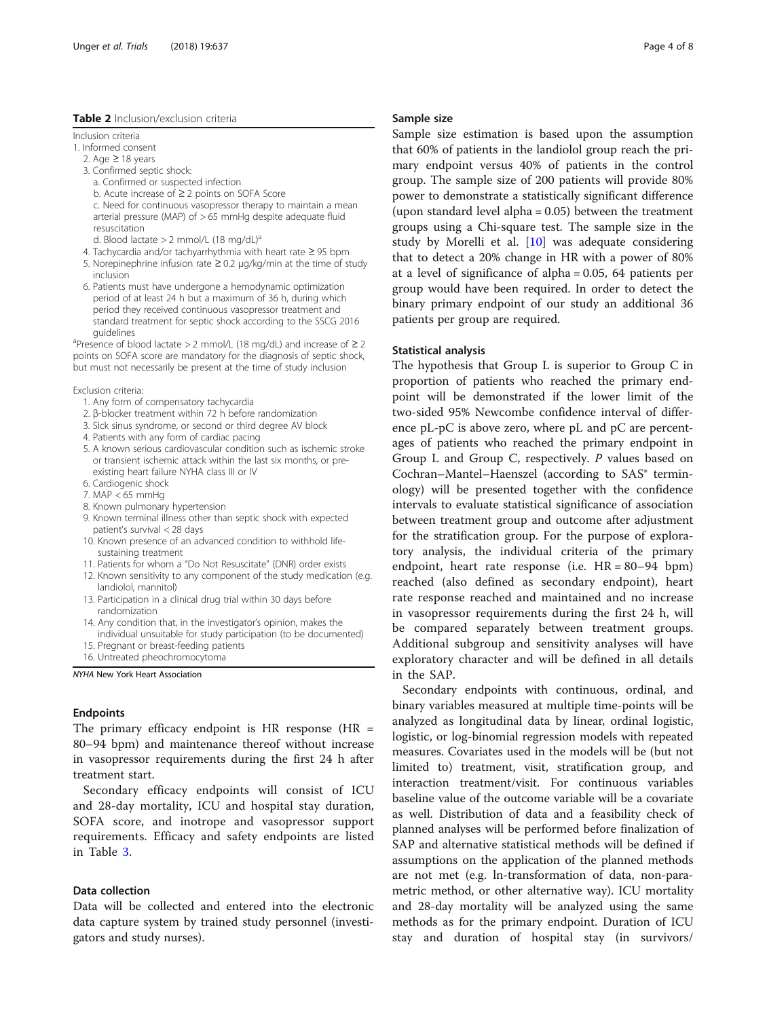# <span id="page-3-0"></span>Table 2 Inclusion/exclusion criteria

Inclusion criteria

- 1. Informed consent
	- 2. Age  $≥ 18$  years
	- 3. Confirmed septic shock:
		- a. Confirmed or suspected infection
		- b. Acute increase of ≥ 2 points on SOFA Score c. Need for continuous vasopressor therapy to maintain a mean arterial pressure (MAP) of  $> 65$  mmHg despite adequate fluid resuscitation
	- d. Blood lactate  $> 2$  mmol/L (18 mg/dL)<sup>a</sup>
	- 4. Tachycardia and/or tachyarrhythmia with heart rate ≥ 95 bpm 5. Norepinephrine infusion rate ≥ 0.2 μg/kg/min at the time of study inclusion
	- 6. Patients must have undergone a hemodynamic optimization period of at least 24 h but a maximum of 36 h, during which period they received continuous vasopressor treatment and standard treatment for septic shock according to the SSCG 2016

guidelines<br><sup>a</sup>Presence of blood lactate > 2 mmol/L (18 mg/dL) and increase of ≥ 2 points on SOFA score are mandatory for the diagnosis of septic shock, but must not necessarily be present at the time of study inclusion

#### Exclusion criteria:

- 1. Any form of compensatory tachycardia
- 2. β-blocker treatment within 72 h before randomization
- 3. Sick sinus syndrome, or second or third degree AV block
- 4. Patients with any form of cardiac pacing
- 5. A known serious cardiovascular condition such as ischemic stroke or transient ischemic attack within the last six months, or preexisting heart failure NYHA class III or IV
- 6. Cardiogenic shock
- 7. MAP < 65 mmHg
- 8. Known pulmonary hypertension
- 9. Known terminal illness other than septic shock with expected patient's survival < 28 days
- 10. Known presence of an advanced condition to withhold lifesustaining treatment
- 11. Patients for whom a "Do Not Resuscitate" (DNR) order exists
- 12. Known sensitivity to any component of the study medication (e.g. landiolol, mannitol)
- 13. Participation in a clinical drug trial within 30 days before randomization
- 14. Any condition that, in the investigator's opinion, makes the individual unsuitable for study participation (to be documented)
- 15. Pregnant or breast-feeding patients
- 16. Untreated pheochromocytoma

NYHA New York Heart Association

# Endpoints

The primary efficacy endpoint is HR response  $(HR =$ 80–94 bpm) and maintenance thereof without increase in vasopressor requirements during the first 24 h after treatment start.

Secondary efficacy endpoints will consist of ICU and 28-day mortality, ICU and hospital stay duration, SOFA score, and inotrope and vasopressor support requirements. Efficacy and safety endpoints are listed in Table [3](#page-5-0).

### Data collection

Data will be collected and entered into the electronic data capture system by trained study personnel (investigators and study nurses).

### Sample size

Sample size estimation is based upon the assumption that 60% of patients in the landiolol group reach the primary endpoint versus 40% of patients in the control group. The sample size of 200 patients will provide 80% power to demonstrate a statistically significant difference (upon standard level alpha = 0.05) between the treatment groups using a Chi-square test. The sample size in the study by Morelli et al. [\[10](#page-6-0)] was adequate considering that to detect a 20% change in HR with a power of 80% at a level of significance of alpha = 0.05, 64 patients per group would have been required. In order to detect the binary primary endpoint of our study an additional 36 patients per group are required.

#### Statistical analysis

The hypothesis that Group L is superior to Group C in proportion of patients who reached the primary endpoint will be demonstrated if the lower limit of the two-sided 95% Newcombe confidence interval of difference pL-pC is above zero, where pL and pC are percentages of patients who reached the primary endpoint in Group L and Group C, respectively.  $P$  values based on Cochran–Mantel–Haenszel (according to SAS<sup>®</sup> terminology) will be presented together with the confidence intervals to evaluate statistical significance of association between treatment group and outcome after adjustment for the stratification group. For the purpose of exploratory analysis, the individual criteria of the primary endpoint, heart rate response (i.e.  $HR = 80-94$  bpm) reached (also defined as secondary endpoint), heart rate response reached and maintained and no increase in vasopressor requirements during the first 24 h, will be compared separately between treatment groups. Additional subgroup and sensitivity analyses will have exploratory character and will be defined in all details in the SAP.

Secondary endpoints with continuous, ordinal, and binary variables measured at multiple time-points will be analyzed as longitudinal data by linear, ordinal logistic, logistic, or log-binomial regression models with repeated measures. Covariates used in the models will be (but not limited to) treatment, visit, stratification group, and interaction treatment/visit. For continuous variables baseline value of the outcome variable will be a covariate as well. Distribution of data and a feasibility check of planned analyses will be performed before finalization of SAP and alternative statistical methods will be defined if assumptions on the application of the planned methods are not met (e.g. ln-transformation of data, non-parametric method, or other alternative way). ICU mortality and 28-day mortality will be analyzed using the same methods as for the primary endpoint. Duration of ICU stay and duration of hospital stay (in survivors/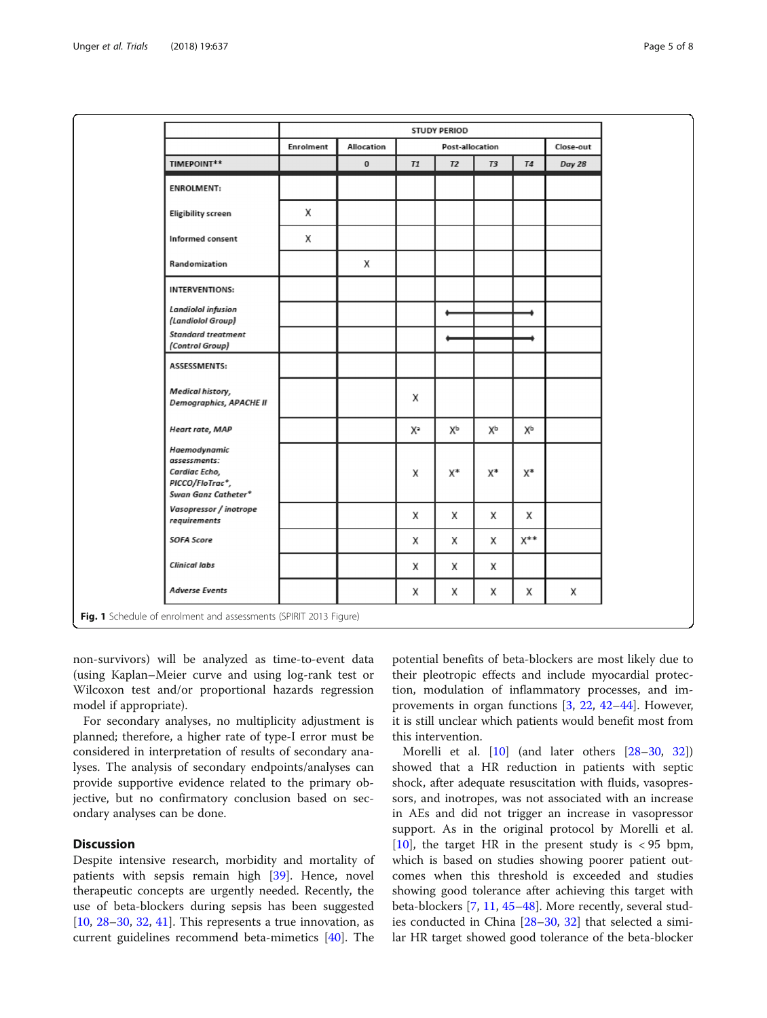<span id="page-4-0"></span>

|                                                                                         | STUDY PERIOD |                   |                              |    |    |            |        |  |  |
|-----------------------------------------------------------------------------------------|--------------|-------------------|------------------------------|----|----|------------|--------|--|--|
|                                                                                         | Enrolment    | <b>Allocation</b> | Post-allocation<br>Close-out |    |    |            |        |  |  |
| TIMEPOINT**                                                                             |              | $\bf{0}$          | T1                           | T2 | T3 | <b>T4</b>  | Day 28 |  |  |
| <b>ENROLMENT:</b>                                                                       |              |                   |                              |    |    |            |        |  |  |
| <b>Eligibility screen</b>                                                               | Χ            |                   |                              |    |    |            |        |  |  |
| Informed consent                                                                        | Χ            |                   |                              |    |    |            |        |  |  |
| Randomization                                                                           |              | Χ                 |                              |    |    |            |        |  |  |
| <b>INTERVENTIONS:</b>                                                                   |              |                   |                              |    |    |            |        |  |  |
| <b>Landiolol</b> infusion<br>(Landiolol Group)                                          |              |                   |                              |    |    |            |        |  |  |
| <b>Standard treatment</b><br>(Control Group)                                            |              |                   |                              |    |    |            |        |  |  |
| ASSESSMENTS:                                                                            |              |                   |                              |    |    |            |        |  |  |
| Medical history,<br><b>Demographics, APACHE II</b>                                      |              |                   | Χ                            |    |    |            |        |  |  |
| Heart rate, MAP                                                                         |              |                   | Xª                           | Хp | Хp | Хp         |        |  |  |
| Haemodynamic<br>assessments:<br>Cardiac Echo,<br>PICCO/FloTrac*,<br>Swan Ganz Catheter* |              |                   | Χ                            | χ* | χ* | X*         |        |  |  |
| Vasopressor / inotrope<br>requirements                                                  |              |                   | Χ                            | Χ  | Х  | Χ          |        |  |  |
| <b>SOFA Score</b>                                                                       |              |                   | Χ                            | X  | X  | <b>x**</b> |        |  |  |
| <b>Clinical labs</b>                                                                    |              |                   | Χ                            | X  | X  |            |        |  |  |
| <b>Adverse Events</b>                                                                   |              |                   | Χ                            | Χ  | х  | Χ          | Χ      |  |  |

non-survivors) will be analyzed as time-to-event data (using Kaplan–Meier curve and using log-rank test or Wilcoxon test and/or proportional hazards regression model if appropriate).

For secondary analyses, no multiplicity adjustment is planned; therefore, a higher rate of type-I error must be considered in interpretation of results of secondary analyses. The analysis of secondary endpoints/analyses can provide supportive evidence related to the primary objective, but no confirmatory conclusion based on secondary analyses can be done.

# **Discussion**

Despite intensive research, morbidity and mortality of patients with sepsis remain high [\[39](#page-6-0)]. Hence, novel therapeutic concepts are urgently needed. Recently, the use of beta-blockers during sepsis has been suggested [[10,](#page-6-0) [28](#page-6-0)–[30,](#page-6-0) [32,](#page-6-0) [41\]](#page-6-0). This represents a true innovation, as current guidelines recommend beta-mimetics [[40\]](#page-6-0). The

potential benefits of beta-blockers are most likely due to their pleotropic effects and include myocardial protection, modulation of inflammatory processes, and improvements in organ functions [[3,](#page-6-0) [22](#page-6-0), [42](#page-6-0)–[44\]](#page-7-0). However, it is still unclear which patients would benefit most from this intervention.

Morelli et al. [[10\]](#page-6-0) (and later others [[28](#page-6-0)–[30,](#page-6-0) [32](#page-6-0)]) showed that a HR reduction in patients with septic shock, after adequate resuscitation with fluids, vasopressors, and inotropes, was not associated with an increase in AEs and did not trigger an increase in vasopressor support. As in the original protocol by Morelli et al. [[10\]](#page-6-0), the target HR in the present study is  $\langle 95 \text{ bpm} \rangle$ , which is based on studies showing poorer patient outcomes when this threshold is exceeded and studies showing good tolerance after achieving this target with beta-blockers [\[7](#page-6-0), [11](#page-6-0), [45](#page-7-0)–[48\]](#page-7-0). More recently, several studies conducted in China [\[28](#page-6-0)–[30,](#page-6-0) [32](#page-6-0)] that selected a similar HR target showed good tolerance of the beta-blocker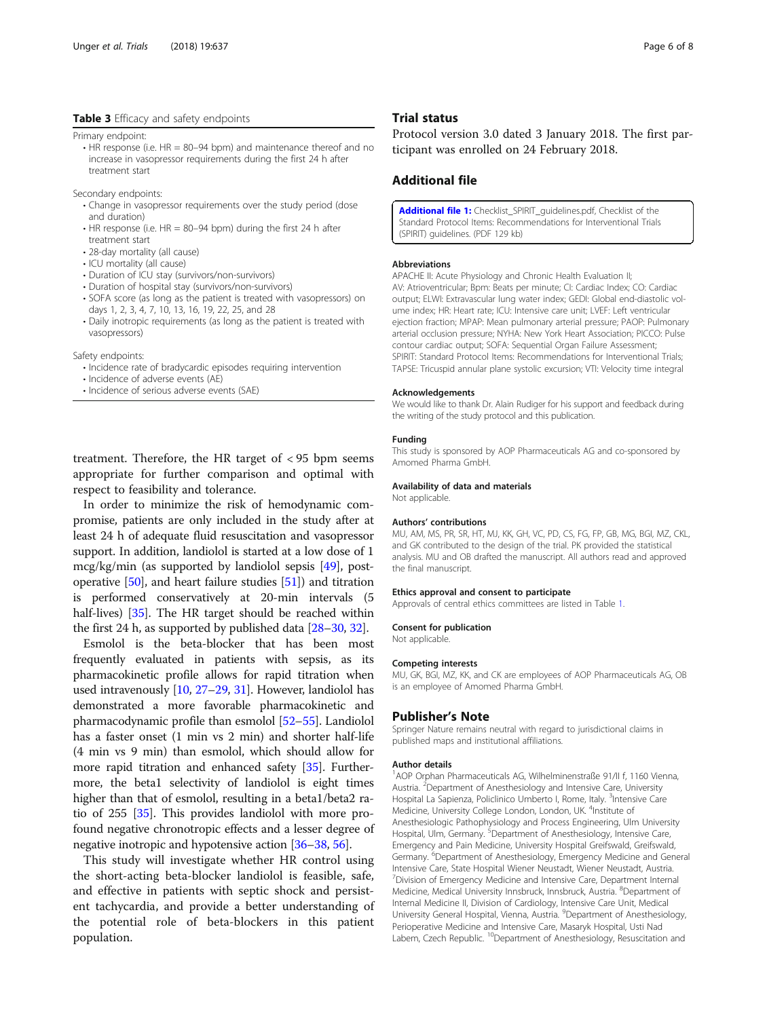# <span id="page-5-0"></span>Table 3 Efficacy and safety endpoints

Primary endpoint:

 $\cdot$  HR response (i.e. HR = 80–94 bpm) and maintenance thereof and no increase in vasopressor requirements during the first 24 h after treatment start

Secondary endpoints:

- Change in vasopressor requirements over the study period (dose and duration)
- $\cdot$  HR response (i.e. HR = 80–94 bpm) during the first 24 h after treatment start
- 28-day mortality (all cause)
- ICU mortality (all cause)
- Duration of ICU stay (survivors/non-survivors)
- Duration of hospital stay (survivors/non-survivors)
- SOFA score (as long as the patient is treated with vasopressors) on days 1, 2, 3, 4, 7, 10, 13, 16, 19, 22, 25, and 28
- Daily inotropic requirements (as long as the patient is treated with vasopressors)

Safety endpoints:

- Incidence rate of bradycardic episodes requiring intervention
- Incidence of adverse events (AE)
- Incidence of serious adverse events (SAE)

treatment. Therefore, the HR target of < 95 bpm seems appropriate for further comparison and optimal with respect to feasibility and tolerance.

In order to minimize the risk of hemodynamic compromise, patients are only included in the study after at least 24 h of adequate fluid resuscitation and vasopressor support. In addition, landiolol is started at a low dose of 1 mcg/kg/min (as supported by landiolol sepsis [\[49](#page-7-0)], postoperative [[50](#page-7-0)], and heart failure studies [\[51\]](#page-7-0)) and titration is performed conservatively at 20-min intervals (5 half-lives) [[35](#page-6-0)]. The HR target should be reached within the first 24 h, as supported by published data [\[28](#page-6-0)–[30](#page-6-0), [32](#page-6-0)].

Esmolol is the beta-blocker that has been most frequently evaluated in patients with sepsis, as its pharmacokinetic profile allows for rapid titration when used intravenously [\[10,](#page-6-0) [27](#page-6-0)–[29,](#page-6-0) [31](#page-6-0)]. However, landiolol has demonstrated a more favorable pharmacokinetic and pharmacodynamic profile than esmolol [[52](#page-7-0)–[55\]](#page-7-0). Landiolol has a faster onset (1 min vs 2 min) and shorter half-life (4 min vs 9 min) than esmolol, which should allow for more rapid titration and enhanced safety [[35](#page-6-0)]. Furthermore, the beta1 selectivity of landiolol is eight times higher than that of esmolol, resulting in a beta1/beta2 ratio of 255 [\[35\]](#page-6-0). This provides landiolol with more profound negative chronotropic effects and a lesser degree of negative inotropic and hypotensive action [[36](#page-6-0)–[38,](#page-6-0) [56](#page-7-0)].

This study will investigate whether HR control using the short-acting beta-blocker landiolol is feasible, safe, and effective in patients with septic shock and persistent tachycardia, and provide a better understanding of the potential role of beta-blockers in this patient population.

#### Trial status

Protocol version 3.0 dated 3 January 2018. The first participant was enrolled on 24 February 2018.

# Additional file

[Additional file 1:](https://doi.org/10.1186/s13063-018-3024-6) Checklist\_SPIRIT\_quidelines.pdf, Checklist of the Standard Protocol Items: Recommendations for Interventional Trials (SPIRIT) guidelines. (PDF 129 kb)

#### Abbreviations

APACHE II: Acute Physiology and Chronic Health Evaluation II; AV: Atrioventricular; Bpm: Beats per minute; CI: Cardiac Index; CO: Cardiac output; ELWI: Extravascular lung water index; GEDI: Global end-diastolic volume index; HR: Heart rate; ICU: Intensive care unit; LVEF: Left ventricular ejection fraction; MPAP: Mean pulmonary arterial pressure; PAOP: Pulmonary arterial occlusion pressure; NYHA: New York Heart Association; PICCO: Pulse contour cardiac output; SOFA: Sequential Organ Failure Assessment; SPIRIT: Standard Protocol Items: Recommendations for Interventional Trials; TAPSE: Tricuspid annular plane systolic excursion; VTI: Velocity time integral

#### Acknowledgements

We would like to thank Dr. Alain Rudiger for his support and feedback during the writing of the study protocol and this publication.

#### Funding

This study is sponsored by AOP Pharmaceuticals AG and co-sponsored by Amomed Pharma GmbH.

# Availability of data and materials

Not applicable.

#### Authors' contributions

MU, AM, MS, PR, SR, HT, MJ, KK, GH, VC, PD, CS, FG, FP, GB, MG, BGI, MZ, CKL, and GK contributed to the design of the trial. PK provided the statistical analysis. MU and OB drafted the manuscript. All authors read and approved the final manuscript.

#### Ethics approval and consent to participate

Approvals of central ethics committees are listed in Table [1.](#page-2-0)

#### Consent for publication

Not applicable.

#### Competing interests

MU, GK, BGI, MZ, KK, and CK are employees of AOP Pharmaceuticals AG, OB is an employee of Amomed Pharma GmbH.

# Publisher's Note

Springer Nature remains neutral with regard to jurisdictional claims in published maps and institutional affiliations.

#### Author details

<sup>1</sup> AOP Orphan Pharmaceuticals AG, Wilhelminenstraße 91/II f, 1160 Vienna Austria. <sup>2</sup>Department of Anesthesiology and Intensive Care, University Hospital La Sapienza, Policlinico Umberto I, Rome, Italy. <sup>3</sup>Intensive Care Medicine, University College London, London, UK. <sup>4</sup>Institute of Anesthesiologic Pathophysiology and Process Engineering, Ulm University Hospital, Ulm, Germany. <sup>5</sup>Department of Anesthesiology, Intensive Care Emergency and Pain Medicine, University Hospital Greifswald, Greifswald, Germany. <sup>6</sup>Department of Anesthesiology, Emergency Medicine and General Intensive Care, State Hospital Wiener Neustadt, Wiener Neustadt, Austria. <sup>7</sup> Division of Emergency Medicine and Intensive Care, Department Internal Medicine, Medical University Innsbruck, Innsbruck, Austria. <sup>8</sup>Department of Internal Medicine II, Division of Cardiology, Intensive Care Unit, Medical University General Hospital, Vienna, Austria. <sup>9</sup>Department of Anesthesiology, Perioperative Medicine and Intensive Care, Masaryk Hospital, Usti Nad Labem, Czech Republic. <sup>10</sup>Department of Anesthesiology, Resuscitation and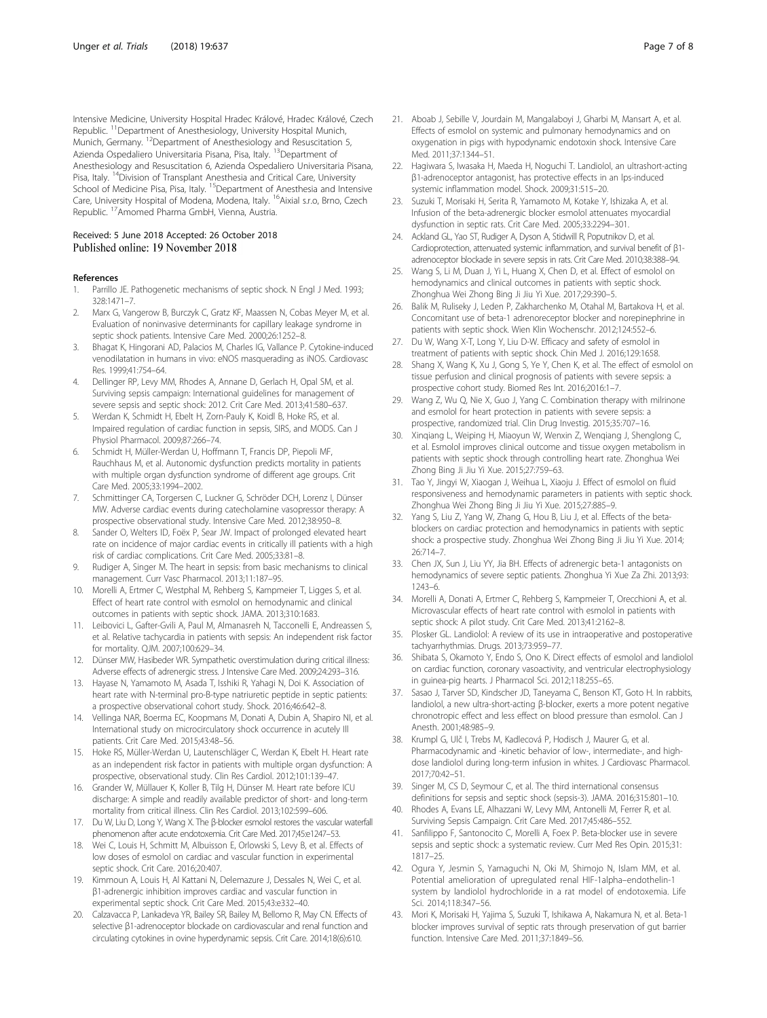<span id="page-6-0"></span>Intensive Medicine, University Hospital Hradec Králové, Hradec Králové, Czech Republic. <sup>11</sup>Department of Anesthesiology, University Hospital Munich, Munich, Germany. <sup>12</sup>Department of Anesthesiology and Resuscitation 5, Azienda Ospedaliero Universitaria Pisana, Pisa, Italy. <sup>13</sup>Department of Anesthesiology and Resuscitation 6, Azienda Ospedaliero Universitaria Pisana, Pisa, Italy. <sup>14</sup>Division of Transplant Anesthesia and Critical Care, University School of Medicine Pisa, Pisa, Italy. <sup>15</sup>Department of Anesthesia and Intensive Care, University Hospital of Modena, Modena, Italy. 16Aixial s.r.o, Brno, Czech Republic. 17Amomed Pharma GmbH, Vienna, Austria.

#### Received: 5 June 2018 Accepted: 26 October 2018 Published online: 19 November 2018

#### References

- 1. Parrillo JE. Pathogenetic mechanisms of septic shock. N Engl J Med. 1993; 328:1471–7.
- 2. Marx G, Vangerow B, Burczyk C, Gratz KF, Maassen N, Cobas Meyer M, et al. Evaluation of noninvasive determinants for capillary leakage syndrome in septic shock patients. Intensive Care Med. 2000;26:1252–8.
- 3. Bhagat K, Hingorani AD, Palacios M, Charles IG, Vallance P. Cytokine-induced venodilatation in humans in vivo: eNOS masquerading as iNOS. Cardiovasc Res. 1999;41:754–64.
- 4. Dellinger RP, Levy MM, Rhodes A, Annane D, Gerlach H, Opal SM, et al. Surviving sepsis campaign: International guidelines for management of severe sepsis and septic shock: 2012. Crit Care Med. 2013;41:580–637.
- 5. Werdan K, Schmidt H, Ebelt H, Zorn-Pauly K, Koidl B, Hoke RS, et al. Impaired regulation of cardiac function in sepsis, SIRS, and MODS. Can J Physiol Pharmacol. 2009;87:266–74.
- 6. Schmidt H, Müller-Werdan U, Hoffmann T, Francis DP, Piepoli MF, Rauchhaus M, et al. Autonomic dysfunction predicts mortality in patients with multiple organ dysfunction syndrome of different age groups. Crit Care Med. 2005;33:1994–2002.
- 7. Schmittinger CA, Torgersen C, Luckner G, Schröder DCH, Lorenz I, Dünser MW. Adverse cardiac events during catecholamine vasopressor therapy: A prospective observational study. Intensive Care Med. 2012;38:950–8.
- 8. Sander O, Welters ID, Foëx P, Sear JW. Impact of prolonged elevated heart rate on incidence of major cardiac events in critically ill patients with a high risk of cardiac complications. Crit Care Med. 2005;33:81–8.
- 9. Rudiger A, Singer M. The heart in sepsis: from basic mechanisms to clinical management. Curr Vasc Pharmacol. 2013;11:187–95.
- 10. Morelli A, Ertmer C, Westphal M, Rehberg S, Kampmeier T, Ligges S, et al. Effect of heart rate control with esmolol on hemodynamic and clinical outcomes in patients with septic shock. JAMA. 2013;310:1683.
- 11. Leibovici L, Gafter-Gvili A, Paul M, Almanasreh N, Tacconelli E, Andreassen S, et al. Relative tachycardia in patients with sepsis: An independent risk factor for mortality. QJM. 2007;100:629–34.
- 12. Dünser MW, Hasibeder WR. Sympathetic overstimulation during critical illness: Adverse effects of adrenergic stress. J Intensive Care Med. 2009;24:293–316.
- 13. Hayase N, Yamamoto M, Asada T, Isshiki R, Yahagi N, Doi K. Association of heart rate with N-terminal pro-B-type natriuretic peptide in septic patients: a prospective observational cohort study. Shock. 2016;46:642–8.
- 14. Vellinga NAR, Boerma EC, Koopmans M, Donati A, Dubin A, Shapiro NI, et al. International study on microcirculatory shock occurrence in acutely Ill patients. Crit Care Med. 2015;43:48–56.
- 15. Hoke RS, Müller-Werdan U, Lautenschläger C, Werdan K, Ebelt H. Heart rate as an independent risk factor in patients with multiple organ dysfunction: A prospective, observational study. Clin Res Cardiol. 2012;101:139–47.
- 16. Grander W, Müllauer K, Koller B, Tilg H, Dünser M. Heart rate before ICU discharge: A simple and readily available predictor of short- and long-term mortality from critical illness. Clin Res Cardiol. 2013;102:599–606.
- 17. Du W, Liu D, Long Y, Wang X. The β-blocker esmolol restores the vascular waterfall phenomenon after acute endotoxemia. Crit Care Med. 2017;45:e1247–53.
- 18. Wei C, Louis H, Schmitt M, Albuisson E, Orlowski S, Levy B, et al. Effects of low doses of esmolol on cardiac and vascular function in experimental septic shock. Crit Care. 2016;20:407.
- 19. Kimmoun A, Louis H, Al Kattani N, Delemazure J, Dessales N, Wei C, et al. β1-adrenergic inhibition improves cardiac and vascular function in experimental septic shock. Crit Care Med. 2015;43:e332–40.
- 20. Calzavacca P, Lankadeva YR, Bailey SR, Bailey M, Bellomo R, May CN. Effects of selective β1-adrenoceptor blockade on cardiovascular and renal function and circulating cytokines in ovine hyperdynamic sepsis. Crit Care. 2014;18(6):610.
- 21. Aboab J, Sebille V, Jourdain M, Mangalaboyi J, Gharbi M, Mansart A, et al. Effects of esmolol on systemic and pulmonary hemodynamics and on oxygenation in pigs with hypodynamic endotoxin shock. Intensive Care Med. 2011;37:1344–51.
- 22. Hagiwara S, Iwasaka H, Maeda H, Noguchi T. Landiolol, an ultrashort-acting β1-adrenoceptor antagonist, has protective effects in an lps-induced systemic inflammation model. Shock. 2009;31:515–20.
- 23. Suzuki T, Morisaki H, Serita R, Yamamoto M, Kotake Y, Ishizaka A, et al. Infusion of the beta-adrenergic blocker esmolol attenuates myocardial dysfunction in septic rats. Crit Care Med. 2005;33:2294–301.
- 24. Ackland GL, Yao ST, Rudiger A, Dyson A, Stidwill R, Poputnikov D, et al. Cardioprotection, attenuated systemic inflammation, and survival benefit of β1 adrenoceptor blockade in severe sepsis in rats. Crit Care Med. 2010;38:388–94.
- 25. Wang S, Li M, Duan J, Yi L, Huang X, Chen D, et al. Effect of esmolol on hemodynamics and clinical outcomes in patients with septic shock. Zhonghua Wei Zhong Bing Ji Jiu Yi Xue. 2017;29:390–5.
- 26. Balik M, Ruliseky J, Leden P, Zakharchenko M, Otahal M, Bartakova H, et al. Concomitant use of beta-1 adrenoreceptor blocker and norepinephrine in patients with septic shock. Wien Klin Wochenschr. 2012;124:552–6.
- 27. Du W, Wang X-T, Long Y, Liu D-W. Efficacy and safety of esmolol in treatment of patients with septic shock. Chin Med J. 2016;129:1658.
- 28. Shang X, Wang K, Xu J, Gong S, Ye Y, Chen K, et al. The effect of esmolol on tissue perfusion and clinical prognosis of patients with severe sepsis: a prospective cohort study. Biomed Res Int. 2016;2016:1–7.
- 29. Wang Z, Wu Q, Nie X, Guo J, Yang C. Combination therapy with milrinone and esmolol for heart protection in patients with severe sepsis: a prospective, randomized trial. Clin Drug Investig. 2015;35:707–16.
- 30. Xinqiang L, Weiping H, Miaoyun W, Wenxin Z, Wenqiang J, Shenglong C, et al. Esmolol improves clinical outcome and tissue oxygen metabolism in patients with septic shock through controlling heart rate. Zhonghua Wei Zhong Bing Ji Jiu Yi Xue. 2015;27:759–63.
- 31. Tao Y, Jingyi W, Xiaogan J, Weihua L, Xiaoju J. Effect of esmolol on fluid responsiveness and hemodynamic parameters in patients with septic shock. Zhonghua Wei Zhong Bing Ji Jiu Yi Xue. 2015;27:885–9.
- 32. Yang S, Liu Z, Yang W, Zhang G, Hou B, Liu J, et al. Effects of the betablockers on cardiac protection and hemodynamics in patients with septic shock: a prospective study. Zhonghua Wei Zhong Bing Ji Jiu Yi Xue. 2014; 26:714–7.
- 33. Chen JX, Sun J, Liu YY, Jia BH. Effects of adrenergic beta-1 antagonists on hemodynamics of severe septic patients. Zhonghua Yi Xue Za Zhi. 2013;93: 1243–6.
- 34. Morelli A, Donati A, Ertmer C, Rehberg S, Kampmeier T, Orecchioni A, et al. Microvascular effects of heart rate control with esmolol in patients with septic shock: A pilot study. Crit Care Med. 2013;41:2162–8.
- 35. Plosker GL. Landiolol: A review of its use in intraoperative and postoperative tachyarrhythmias. Drugs. 2013;73:959–77.
- 36. Shibata S, Okamoto Y, Endo S, Ono K. Direct effects of esmolol and landiolol on cardiac function, coronary vasoactivity, and ventricular electrophysiology in guinea-pig hearts. J Pharmacol Sci. 2012;118:255–65.
- 37. Sasao J, Tarver SD, Kindscher JD, Taneyama C, Benson KT, Goto H. In rabbits, landiolol, a new ultra-short-acting β-blocker, exerts a more potent negative chronotropic effect and less effect on blood pressure than esmolol. Can J Anesth. 2001;48:985–9.
- Krumpl G, Ulč I, Trebs M, Kadlecová P, Hodisch J, Maurer G, et al. Pharmacodynamic and -kinetic behavior of low-, intermediate-, and highdose landiolol during long-term infusion in whites. J Cardiovasc Pharmacol. 2017;70:42–51.
- 39. Singer M, CS D, Seymour C, et al. The third international consensus definitions for sepsis and septic shock (sepsis-3). JAMA. 2016;315:801–10.
- 40. Rhodes A, Evans LE, Alhazzani W, Levy MM, Antonelli M, Ferrer R, et al. Surviving Sepsis Campaign. Crit Care Med. 2017;45:486–552.
- 41. Sanfilippo F, Santonocito C, Morelli A, Foex P. Beta-blocker use in severe sepsis and septic shock: a systematic review. Curr Med Res Opin. 2015;31: 1817–25.
- 42. Ogura Y, Jesmin S, Yamaguchi N, Oki M, Shimojo N, Islam MM, et al. Potential amelioration of upregulated renal HIF-1alpha–endothelin-1 system by landiolol hydrochloride in a rat model of endotoxemia. Life Sci. 2014;118:347–56.
- 43. Mori K, Morisaki H, Yajima S, Suzuki T, Ishikawa A, Nakamura N, et al. Beta-1 blocker improves survival of septic rats through preservation of gut barrier function. Intensive Care Med. 2011;37:1849–56.